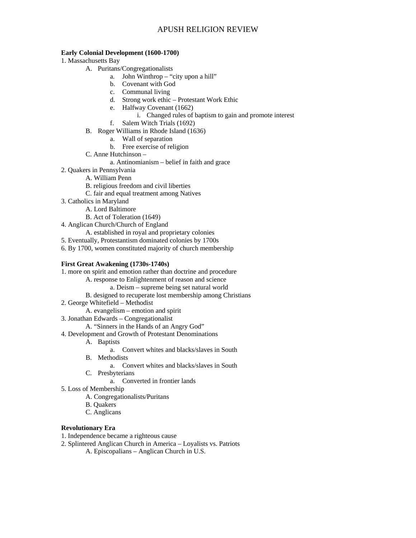### **Early Colonial Development (1600-1700)**

- 1. Massachusetts Bay
	- A. Puritans/Congregationalists
		- a. John Winthrop "city upon a hill"
			- b. Covenant with God
			- c. Communal living
			- d. Strong work ethic Protestant Work Ethic
			- e. Halfway Covenant (1662)
				- i. Changed rules of baptism to gain and promote interest
			- f. Salem Witch Trials (1692)
	- B. Roger Williams in Rhode Island (1636)
		- a. Wall of separation
		- b. Free exercise of religion
	- C. Anne Hutchinson
		- a. Antinomianism belief in faith and grace
- 2. Quakers in Pennsylvania
	- A. William Penn
	- B. religious freedom and civil liberties
	- C. fair and equal treatment among Natives
- 3. Catholics in Maryland
	- A. Lord Baltimore
	- B. Act of Toleration (1649)
- 4. Anglican Church/Church of England
- A. established in royal and proprietary colonies
- 5. Eventually, Protestantism dominated colonies by 1700s
- 6. By 1700, women constituted majority of church membership

#### **First Great Awakening (1730s-1740s)**

- 1. more on spirit and emotion rather than doctrine and procedure
	- A. response to Enlightenment of reason and science
		- a. Deism supreme being set natural world
	- B. designed to recuperate lost membership among Christians
- 2. George Whitefield Methodist
	- A. evangelism emotion and spirit
- 3. Jonathan Edwards Congregationalist
- A. "Sinners in the Hands of an Angry God"
- 4. Development and Growth of Protestant Denominations
	- A. Baptists
		- a. Convert whites and blacks/slaves in South
	- B. Methodists
		- a. Convert whites and blacks/slaves in South
	- C. Presbyterians
		- a. Converted in frontier lands
- 5. Loss of Membership
	- A. Congregationalists/Puritans
	- B. Quakers
	- C. Anglicans

#### **Revolutionary Era**

- 1. Independence became a righteous cause
- 2. Splintered Anglican Church in America Loyalists vs. Patriots
	- A. Episcopalians Anglican Church in U.S.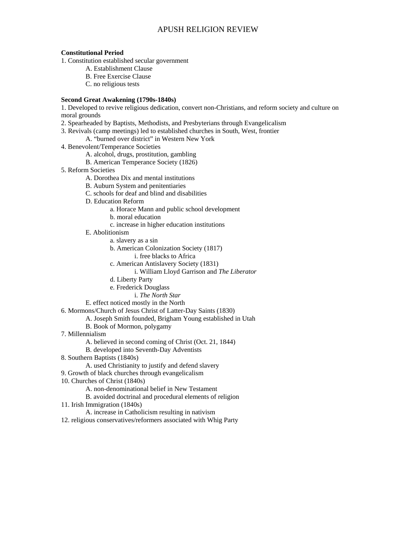### **Constitutional Period**

- 1. Constitution established secular government
	- A. Establishment Clause
	- B. Free Exercise Clause
	- C. no religious tests

### **Second Great Awakening (1790s-1840s)**

1. Developed to revive religious dedication, convert non-Christians, and reform society and culture on moral grounds

- 2. Spearheaded by Baptists, Methodists, and Presbyterians through Evangelicalism
- 3. Revivals (camp meetings) led to established churches in South, West, frontier
	- A. "burned over district" in Western New York
- 4. Benevolent/Temperance Societies
	- A. alcohol, drugs, prostitution, gambling
	- B. American Temperance Society (1826)
- 5. Reform Societies
	- A. Dorothea Dix and mental institutions
	- B. Auburn System and penitentiaries
	- C. schools for deaf and blind and disabilities
	- D. Education Reform
		- a. Horace Mann and public school development
		- b. moral education
		- c. increase in higher education institutions
	- E. Abolitionism
		- a. slavery as a sin
		- b. American Colonization Society (1817)
			- i. free blacks to Africa
		- c. American Antislavery Society (1831)
			- i. William Lloyd Garrison and *The Liberator*
		- d. Liberty Party
		- e. Frederick Douglass
			- i. *The North Star*
	- E. effect noticed mostly in the North
- 6. Mormons/Church of Jesus Christ of Latter-Day Saints (1830)
	- A. Joseph Smith founded, Brigham Young established in Utah
	- B. Book of Mormon, polygamy
- 7. Millennialism
	- A. believed in second coming of Christ (Oct. 21, 1844)
	- B. developed into Seventh-Day Adventists
- 8. Southern Baptists (1840s)
	- A. used Christianity to justify and defend slavery
- 9. Growth of black churches through evangelicalism
- 10. Churches of Christ (1840s)
	- A. non-denominational belief in New Testament
	- B. avoided doctrinal and procedural elements of religion
- 11. Irish Immigration (1840s)
	- A. increase in Catholicism resulting in nativism
- 12. religious conservatives/reformers associated with Whig Party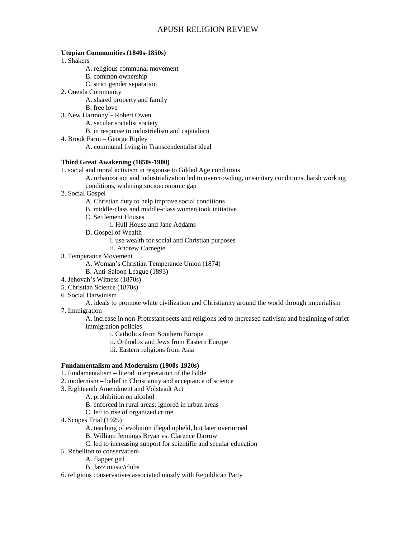#### **Utopian Communities (1840s-1850s)**

1. Shakers

- A. religious communal movement
- B. common ownership
- C. strict gender separation
- 2. Oneida Community
	- A. shared property and family
	- B. free love
- 3. New Harmony Robert Owen
	- A. secular socialist society
	- B. in response to industrialism and capitalism
- 4. Brook Farm George Ripley
	- A. communal living in Transcendentalist ideal

#### **Third Great Awakening (1850s-1900)**

1. social and moral activism in response to Gilded Age conditions

- A. urbanization and industrialization led to overcrowding, unsanitary conditions, harsh working conditions, widening socioeconomic gap
- 2. Social Gospel
	- A. Christian duty to help improve social conditions
	- B. middle-class and middle-class women took initiative
	- C. Settlement Houses
		- i. Hull House and Jane Addams
	- D. Gospel of Wealth
		- i. use wealth for social and Christian purposes
		- ii. Andrew Carnegie
- 3. Temperance Movement
	- A. Woman's Christian Temperance Union (1874)
	- B. Anti-Saloon League (1893)
- 4. Jehovah's Witness (1870s)
- 5. Christian Science (1870s)
- 6. Social Darwinism

# A. ideals to promote white civilization and Christianity around the world through imperialism

7. Immigration

A. increase in non-Protestant sects and religions led to increased nativism and beginning of strict immigration policies

- i. Catholics from Southern Europe
- ii. Orthodox and Jews from Eastern Europe
- iii. Eastern religions from Asia

#### **Fundamentalism and Modernism (1900s-1920s)**

- 1. fundamentalism literal interpretation of the Bible
- 2. modernism belief in Christianity and acceptance of science
- 3. Eighteenth Amendment and Volsteadt Act
	- A. prohibition on alcohol
	- B. enforced in rural areas; ignored in urban areas
	- C. led to rise of organized crime
- 4. Scopes Trial (1925)
	- A. teaching of evolution illegal upheld, but later overturned
	- B. William Jennings Bryan vs. Clarence Darrow
	- C. led to increasing support for scientific and secular education
- 5. Rebellion to conservatism
	- A. flapper girl
	- B. Jazz music/clubs
- 6. religious conservatives associated mostly with Republican Party